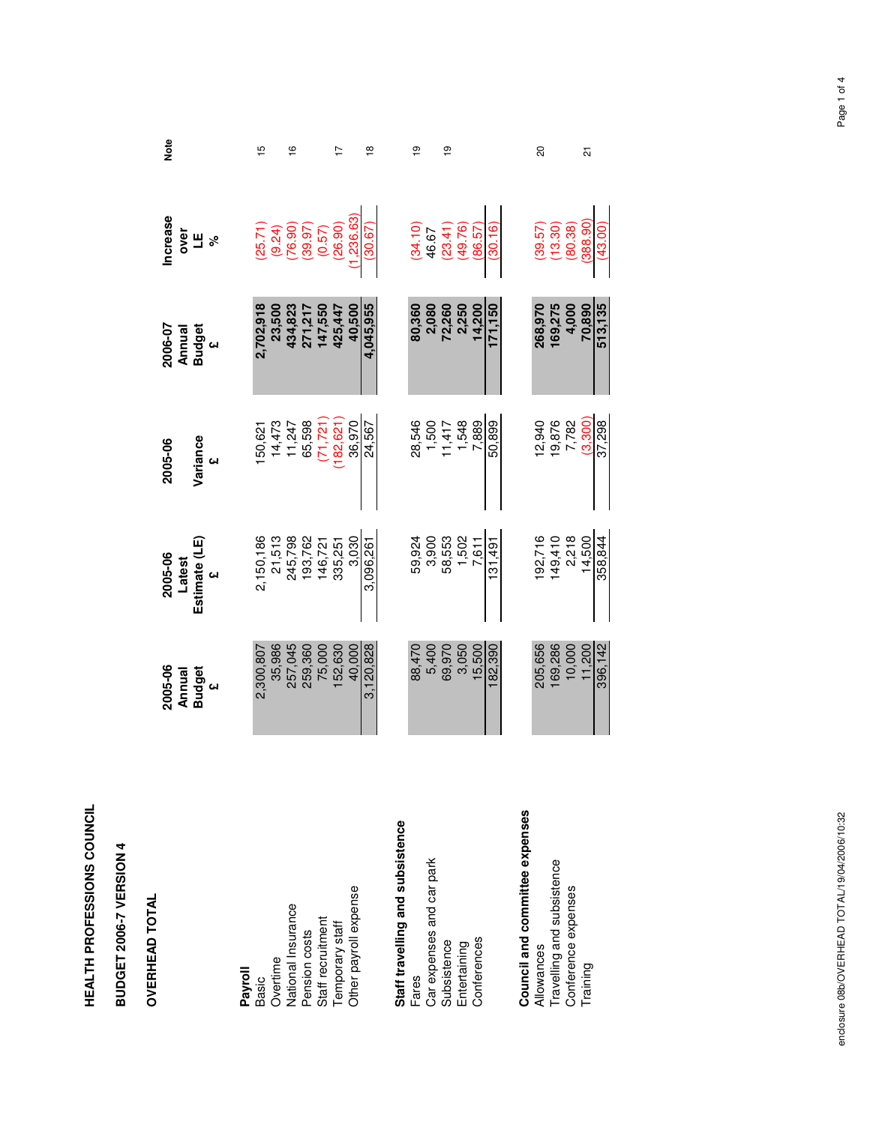| í |
|---|
|   |
|   |
|   |
|   |
|   |
|   |
| í |
|   |
|   |
|   |

## BUDGET 2006-7 VERSION 4 **BUDGET 2006-7 VERSION 4**

## **OVERHEAD TOTAL**

| <b>OVERHEAD TOTAL</b>                                                          | 2005-06<br>Annual<br>Budget<br>$\omega$ | Latest<br>Estimate (LE)<br>2005-06                 | Variance<br>2005-06                | 2006-07<br><b>Annual</b><br>Budget<br>£ | <b>Increase</b><br>over<br>当<br>$\delta$                    | Note                    |
|--------------------------------------------------------------------------------|-----------------------------------------|----------------------------------------------------|------------------------------------|-----------------------------------------|-------------------------------------------------------------|-------------------------|
| Payroll<br><b>Basic</b>                                                        | 2,300,807                               | 2,150,186                                          | 150,621                            | 2,702,918                               |                                                             | 15                      |
| National Insurance<br>Overtime                                                 | 35,986<br>257,045<br>259,360            | 21,513<br>245,798<br>193,762<br>146,721<br>146,725 | 65,598<br>14,473<br>11,247         | 434,823<br>23,500<br>271,217            | $(25.71)$<br>$(9.24)$<br>$(76.90)$<br>$(39.57)$<br>$(0.57)$ | $\frac{6}{1}$           |
| Other payroll expense<br>Pension costs<br>Staff recruitment<br>Temporary staff | 152,630<br>40,000<br>75,000             | 3,030                                              | 36,970<br>$(71, 721)$<br>(182,621) | 40,500<br>147,550<br>425,447            | 1,236.63<br>(26.90)                                         | 17                      |
|                                                                                | 3,120,828                               | 3,096,261                                          | 24,567                             | 4,045,955                               | (30.67)                                                     | $\frac{\infty}{\infty}$ |
| Staff travelling and subsistence                                               |                                         |                                                    |                                    |                                         |                                                             |                         |
| Car expenses and car park<br>Fares                                             | 5,400<br>88,470                         | 59,924                                             | 28,546                             | 80,360                                  | $(34.10)$<br>46.67                                          | စ္                      |
| Subsistence                                                                    | 69,970                                  | 3,900<br>58,553<br>7,502<br>7,611                  |                                    | 2,080<br>72,250<br>2,250                | $(23.41)$<br>$(49.76)$                                      | $\frac{1}{2}$           |
| Conferences<br>Entertaining                                                    | 15,500<br>3,050                         |                                                    | 1,500<br>11,417<br>1,548<br>1,509  | 14,200                                  | (86.57)                                                     |                         |
|                                                                                | 182,390                                 | 131,491                                            | 50,899                             | 171,150                                 | (30.16)                                                     |                         |
| Council and committee expenses                                                 |                                         |                                                    |                                    |                                         |                                                             |                         |
| Allowances                                                                     | 205,656                                 | 192,716                                            | 12,940                             | 268,970                                 | $(39.57)$<br>(13.30)                                        | 20                      |
| Travelling and subsistence                                                     | 169,286                                 | $149,410$<br>$2,218$                               | 19,876<br>7,782                    | 169,275                                 |                                                             |                         |
| Conference expenses                                                            | 10,000                                  |                                                    | (3,300)                            | 4,000                                   | (80.38)                                                     |                         |
| Training                                                                       | 396,142<br>11,200                       | 14,500<br>358,844                                  | 37,298                             | 513,135<br>70,890                       | (388.90<br>(43.00)                                          | ភ                       |
|                                                                                |                                         |                                                    |                                    |                                         |                                                             |                         |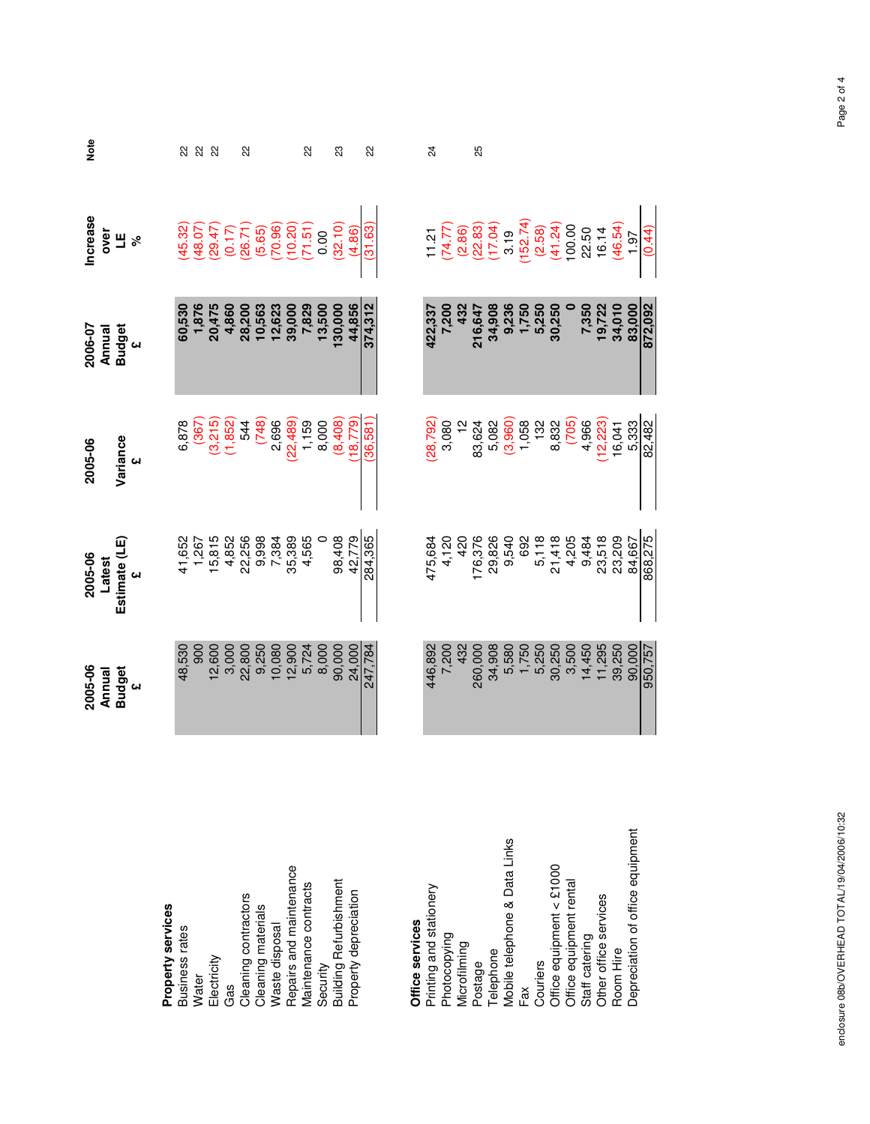|                                  | 2005-06                    | 2005-06                                      | 2005-06                                                                         | 2006-07                                    | <b>Increase</b>                                                                                  | Note           |
|----------------------------------|----------------------------|----------------------------------------------|---------------------------------------------------------------------------------|--------------------------------------------|--------------------------------------------------------------------------------------------------|----------------|
|                                  | Annual                     | Latest                                       |                                                                                 | Annual                                     | over                                                                                             |                |
|                                  | <b>Budget</b><br><b>CH</b> | Estimate (LE)                                | Variance<br>щ                                                                   | Budget<br>$\omega$                         | Ш<br>ৡ                                                                                           |                |
| Property services                |                            |                                              |                                                                                 |                                            |                                                                                                  |                |
| Business rates                   | 48,530                     | 41,652                                       | 6,878                                                                           |                                            | 45.32                                                                                            | 23             |
| <b>Water</b>                     | 900                        | 1,267                                        |                                                                                 | 60,530<br>1,876                            | (48.07)                                                                                          | 22             |
| Electricity                      | 12,600                     | 15,815                                       | (367)<br>(3,215)<br>(1,852)                                                     | 20,475                                     | (29.47)                                                                                          | 22             |
| Gas                              | 3,000                      |                                              |                                                                                 | 4,860                                      |                                                                                                  |                |
| Cleaning contractors             | 22,800                     | 4,852<br>22,256                              | 544                                                                             | 28,200                                     | $(0.17)$<br>(26.71)                                                                              | 22             |
| Cleaning materials               | 9,250                      | 9,998                                        | (748)                                                                           | <b>10,563</b><br>12,623                    | (5.65)                                                                                           |                |
| Waste disposal                   | 10,080                     | 7,384                                        | 2,696                                                                           |                                            |                                                                                                  |                |
| Repairs and maintenance          | 12,900                     | 35,389                                       | $(22, 489)$<br>1, 159                                                           | 39,000                                     | $(70.96)$<br>$(10.20)$<br>$(71.51)$                                                              |                |
| Maintenance contracts            | 5,724<br>8,000             | 4,565                                        |                                                                                 | 7,829<br>13,500                            |                                                                                                  | 22             |
| Security                         |                            |                                              | 8,000                                                                           |                                            | 0.00                                                                                             |                |
| Building Refurbishment           | 90,000                     | 98,408                                       | (8,408)                                                                         | 130,000                                    | (32.10)                                                                                          | 23             |
| Property depreciation            | 24,000                     | 42,779                                       | 18,779                                                                          | 44,856                                     | (4.86)                                                                                           |                |
|                                  | 247,784                    | 284,365                                      | 36,581                                                                          | 374,312                                    | (31.63)                                                                                          | $\overline{2}$ |
|                                  |                            |                                              |                                                                                 |                                            |                                                                                                  |                |
| Office services                  |                            |                                              |                                                                                 |                                            |                                                                                                  |                |
| Printing and stationery          | 446,892                    | 475,684<br>4,120<br>420                      | (28, 792)                                                                       | 422,337                                    | 11.21                                                                                            | 24             |
| Photocopying                     | 7,200                      |                                              | 3,080                                                                           | 7,200                                      | (74.77)                                                                                          |                |
| Microfilming                     | 432                        |                                              | $\tilde{c}$                                                                     | 432                                        |                                                                                                  |                |
| Postage                          | 260,000                    | 176,376<br>29,826<br>9,540                   | 83,624                                                                          | 216,647                                    | $(2.86)$<br>$(22.83)$<br>$(17.04)$                                                               | 25             |
| Telephone                        | 34,908                     |                                              |                                                                                 | 34,908                                     |                                                                                                  |                |
| Mobile telephone & Data Links    | 5,580                      |                                              |                                                                                 |                                            |                                                                                                  |                |
| Fax                              |                            |                                              |                                                                                 |                                            |                                                                                                  |                |
| Couriers                         | 1,750<br>5,250             |                                              |                                                                                 |                                            |                                                                                                  |                |
| Office equipment < £1000         | 30,250                     | 692<br>5,118<br>21,418                       | 5,082<br>(3,960)<br>(3,960)<br>(3,982<br>(12,223)<br>(16,041<br>16,041<br>5,333 | 9,236<br>1,750<br>5,250<br>5,250<br>30,250 | $\begin{array}{c} 3.19 \\ (152.74) \\ (2.58) \\ (41.24) \\ 100.00 \\ 22.50 \\ 16.14 \end{array}$ |                |
| Office equipment rental          | 3,500                      |                                              |                                                                                 |                                            |                                                                                                  |                |
| Staff catering                   | 14,450<br>11,295           |                                              |                                                                                 |                                            |                                                                                                  |                |
| Other office services            |                            |                                              |                                                                                 | 7,350<br>19,722<br>34,010                  |                                                                                                  |                |
| Room Hire                        | 39,250                     | 4,205<br>9,484<br>23,209<br>23,209<br>84,667 |                                                                                 |                                            | (46.54)                                                                                          |                |
| Depreciation of office equipment | 90,000                     |                                              |                                                                                 | 83,000                                     | 1.97                                                                                             |                |
|                                  | 950,757                    | 868,275                                      | 82,482                                                                          | 872,092                                    | (0.44)                                                                                           |                |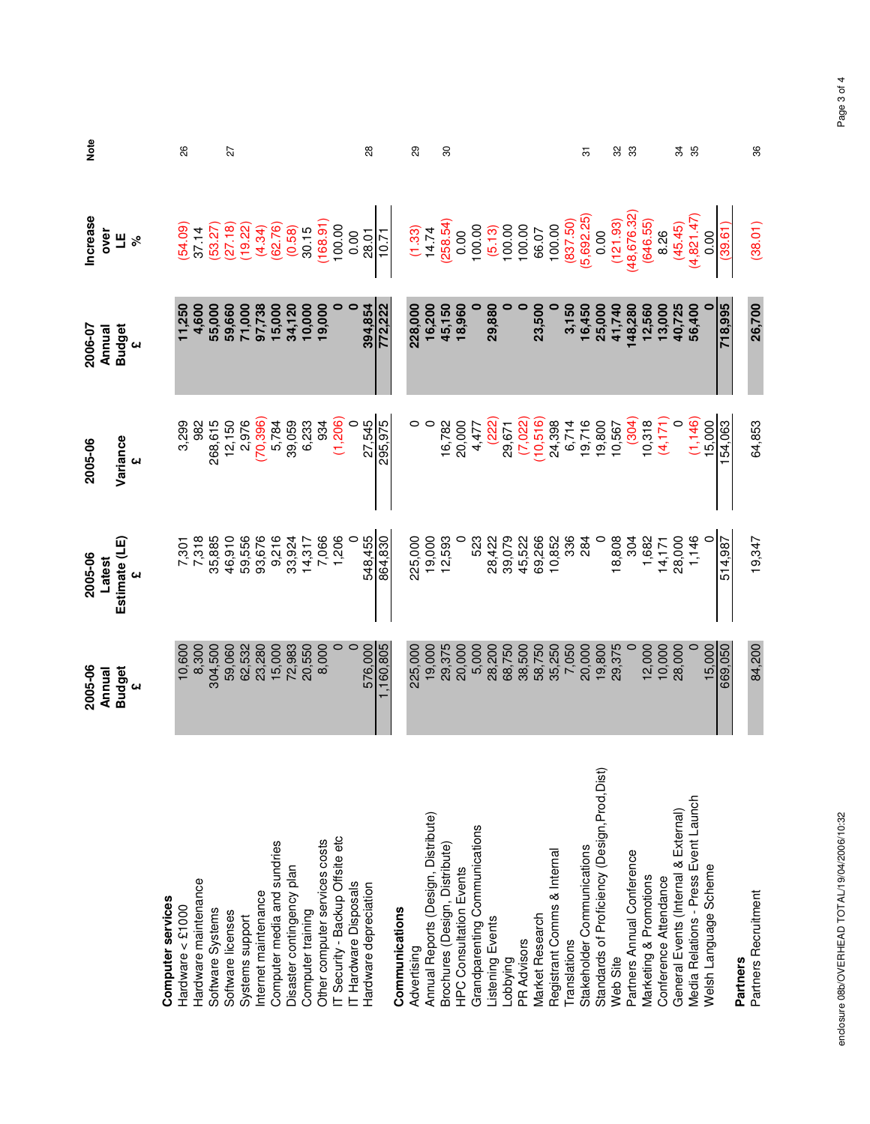|                                               | 2005-06<br>Annual | 2005-06<br>Latest | 2005-06   | 2006-07<br>Annual | <b>Increase</b><br>over | Note |
|-----------------------------------------------|-------------------|-------------------|-----------|-------------------|-------------------------|------|
|                                               | <b>Budget</b>     | Estimate (LE)     | Variance  | <b>Budget</b>     | Щ                       |      |
|                                               | ĢΝ                | cн                |           | <b>CH</b>         | ಸಿ                      |      |
| Computer services                             |                   |                   |           |                   |                         |      |
| Hardware < £1000                              | 10,600            | 7,301<br>7,318    | 3,299     | 11,250            | (54.09)                 | 26   |
| Hardware maintenance                          | 8,300             |                   | 982       | 4,600             | 37.14                   |      |
| Software Systems                              | 304,500           | 35,885            | 268,615   | 55,000            | (53.27                  |      |
| Software licenses                             | 59,060            | 46,910            | 12,150    | 59,660            | 27.18)                  | 27   |
| Systems support                               | 62,532            | 59,556            | 2,976     | 71,000            | 19.22                   |      |
| Internet maintenance                          | 23,280            | 93,676            | (70, 396) | 97,738            | (4.34)                  |      |
| Computer media and sundries                   | 15,000            | 9,216             | 5,784     | 15,000            | (62.76)                 |      |
| Disaster contingency plan                     | 72,983            | 33,924            | 39,059    | 34,120            | (0.58)                  |      |
| Computer training                             | 20,550            | 14,317            | 6,233     | 10,000            | 30.15                   |      |
| Other computer services costs                 | 8,000             | 7,066             | 934       | 19,000            | 168.91                  |      |
| IT Security - Backup Offsite etc              |                   | 1,206             | (1, 206)  |                   | 100.00                  |      |
| T Hardware Disposals                          |                   | $\circ$           |           |                   | 0.00                    |      |
| Hardware depreciation                         | 576,000           | 548,455           | 27,545    | 394,854           | 28.01                   | 28   |
|                                               | ,160,805          | 864,830           | 295,975   | 72,222            | $-10.71$                |      |
| Communications                                |                   |                   |           |                   |                         |      |
| Advertising                                   | 225,000           | 225,000           |           | 228,000           | (1.33)                  | 29   |
| Annual Reports (Design, Distribute)           | 19,000            | 19,000            |           | 16,200            | 14.74                   |      |
| Brochures (Design, Distribute)                | 29,375            | 12,593            | 16,782    | 45,150            | (258.54)                | 30   |
| <b>HPC Consultation Events</b>                | 20,000            |                   | 20,000    | 18,960            | 0.00                    |      |
| Grandparenting Communications                 | 5,000             | 523               | 4,477     |                   | 100.00                  |      |
| Listening Events                              | 28,200            | 28,422            | (222)     | 29,880            | (5.13)                  |      |
| Lobbying                                      | 68,750            | 39,079            | 29,671    |                   | 100.00<br>100.00        |      |
| PR Advisors                                   | 38,500            | 45,522            | (7,022)   |                   |                         |      |
| Market Research                               | 58,750            | 69,266            | (10,516)  | 23,500            | 66.07                   |      |
| Registrant Comms & Internal                   | 35,250            | 10,852            | 24,398    |                   | 100.00                  |      |
| <b>Translations</b>                           | 7,050             | 336               | 6,714     | 3,150             | (837.50)                |      |
| Stakeholder Communications                    | 20,000            | 284               | 19,716    | 16,450            | (5,692.25)              | 5    |
| Standards of Proficiency (Design, Prod, Dist) | 19,800            | $\circ$           | 19,800    | 25,000            | 0.00                    |      |
| Web Site                                      | 29,375            | 18,808            | 10,567    | 41,740            | (121.93)                | 32   |
| Partners Annual Conference                    |                   | 304               | (304)     | 148,280           | (48,676.32              | 33   |
| Marketing & Promotions                        | 12,000            | 1,682             | 10,318    | 12,560            | (646.55)                |      |
| Conference Attendance                         | 10,000            | 14,171            | (4,171)   | 13,000            | 8.26                    |      |
| General Events (Internal & External)          | 28,000            | 28,000            |           | 40,725            | (45.45)                 | 34   |
| Media Relations - Press Event Launch          |                   | 1,146             | (1, 146)  | 56,400            | (4, 821.47              | 35   |
| Welsh Language Scheme                         | 15,000            |                   | 15,000    |                   | 0.00                    |      |
|                                               | 669,050           | 514,987           | 154,063   | 718,995           | (39.61)                 |      |
| Partners                                      |                   |                   |           |                   |                         |      |
| Partners Recruitment                          | 84,200            | 19,347            | 64,853    | 26,700            | (38.01)                 | 36   |